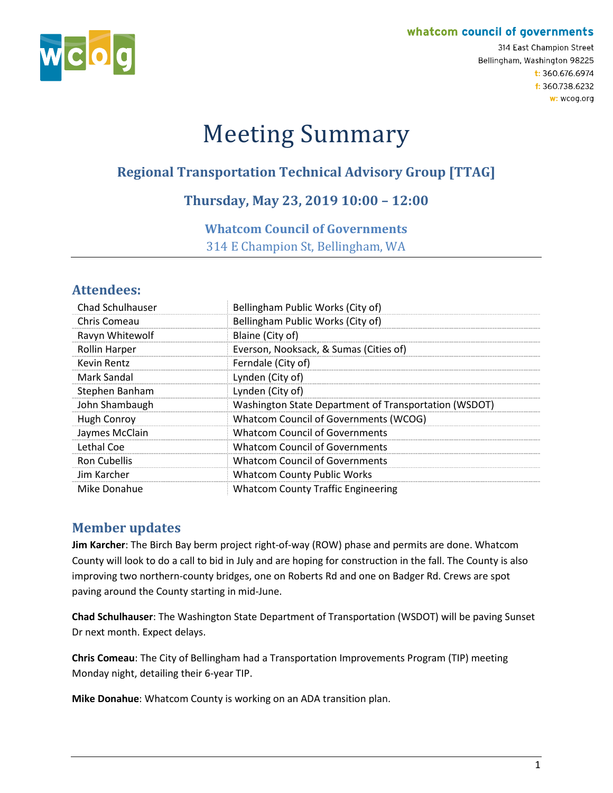#### whatcom council of governments



314 East Champion Street Bellingham, Washington 98225 t: 360.676.6974 f: 360.738.6232 w: wcog.org

# Meeting Summary

## **Regional Transportation Technical Advisory Group [TTAG]**

## **Thursday, May 23, 2019 10:00 – 12:00**

### **Whatcom Council of Governments**

314 E Champion St, Bellingham, WA

## **Attendees:**

| <b>Chad Schulhauser</b> | Bellingham Public Works (City of)                     |
|-------------------------|-------------------------------------------------------|
| Chris Comeau            | Bellingham Public Works (City of)                     |
| Ravyn Whitewolf         | Blaine (City of)                                      |
| <b>Rollin Harper</b>    | Everson, Nooksack, & Sumas (Cities of)                |
| Kevin Rentz             | Ferndale (City of)                                    |
| Mark Sandal             | Lynden (City of)                                      |
| Stephen Banham          | Lynden (City of)                                      |
| John Shambaugh          | Washington State Department of Transportation (WSDOT) |
| Hugh Conroy             | Whatcom Council of Governments (WCOG)                 |
| Jaymes McClain          | <b>Whatcom Council of Governments</b>                 |
| Lethal Coe              | <b>Whatcom Council of Governments</b>                 |
| <b>Ron Cubellis</b>     | <b>Whatcom Council of Governments</b>                 |
| Jim Karcher             | <b>Whatcom County Public Works</b>                    |
| Mike Donahue            | <b>Whatcom County Traffic Engineering</b>             |

## **Member updates**

**Jim Karcher**: The Birch Bay berm project right-of-way (ROW) phase and permits are done. Whatcom County will look to do a call to bid in July and are hoping for construction in the fall. The County is also improving two northern-county bridges, one on Roberts Rd and one on Badger Rd. Crews are spot paving around the County starting in mid-June.

**Chad Schulhauser**: The Washington State Department of Transportation (WSDOT) will be paving Sunset Dr next month. Expect delays.

**Chris Comeau**: The City of Bellingham had a Transportation Improvements Program (TIP) meeting Monday night, detailing their 6-year TIP.

**Mike Donahue**: Whatcom County is working on an ADA transition plan.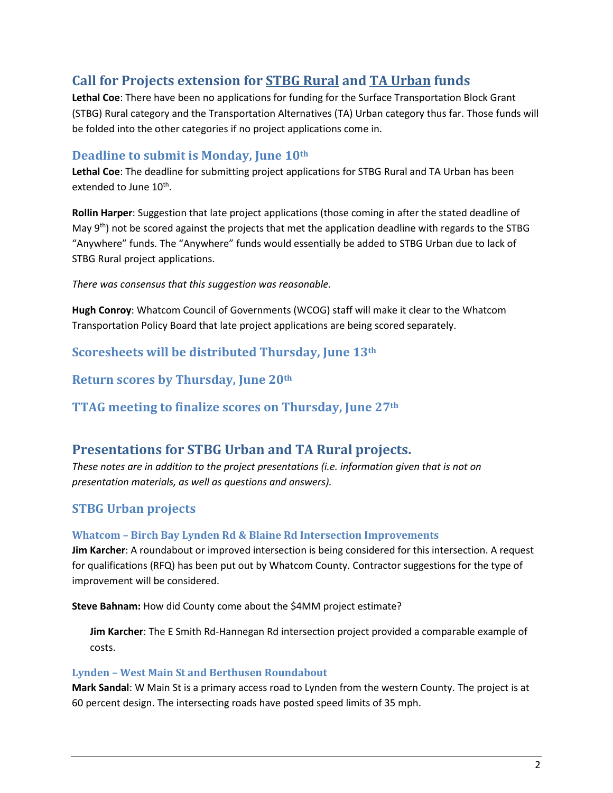## **Call for Projects extension for STBG Rural and TA Urban funds**

**Lethal Coe**: There have been no applications for funding for the Surface Transportation Block Grant (STBG) Rural category and the Transportation Alternatives (TA) Urban category thus far. Those funds will be folded into the other categories if no project applications come in.

#### **Deadline to submit is Monday, June 10th**

**Lethal Coe**: The deadline for submitting project applications for STBG Rural and TA Urban has been extended to June 10<sup>th</sup>.

**Rollin Harper**: Suggestion that late project applications (those coming in after the stated deadline of May  $9<sup>th</sup>$ ) not be scored against the projects that met the application deadline with regards to the STBG "Anywhere" funds. The "Anywhere" funds would essentially be added to STBG Urban due to lack of STBG Rural project applications.

*There was consensus that this suggestion was reasonable.*

**Hugh Conroy**: Whatcom Council of Governments (WCOG) staff will make it clear to the Whatcom Transportation Policy Board that late project applications are being scored separately.

**Scoresheets will be distributed Thursday, June 13th**

**Return scores by Thursday, June 20th**

**TTAG meeting to finalize scores on Thursday, June 27th**

### **Presentations for STBG Urban and TA Rural projects.**

*These notes are in addition to the project presentations (i.e. information given that is not on presentation materials, as well as questions and answers).*

### **STBG Urban projects**

#### **Whatcom – Birch Bay Lynden Rd & Blaine Rd Intersection Improvements**

**Jim Karcher**: A roundabout or improved intersection is being considered for this intersection. A request for qualifications (RFQ) has been put out by Whatcom County. Contractor suggestions for the type of improvement will be considered.

**Steve Bahnam:** How did County come about the \$4MM project estimate?

**Jim Karcher**: The E Smith Rd-Hannegan Rd intersection project provided a comparable example of costs.

#### **Lynden – West Main St and Berthusen Roundabout**

**Mark Sandal**: W Main St is a primary access road to Lynden from the western County. The project is at 60 percent design. The intersecting roads have posted speed limits of 35 mph.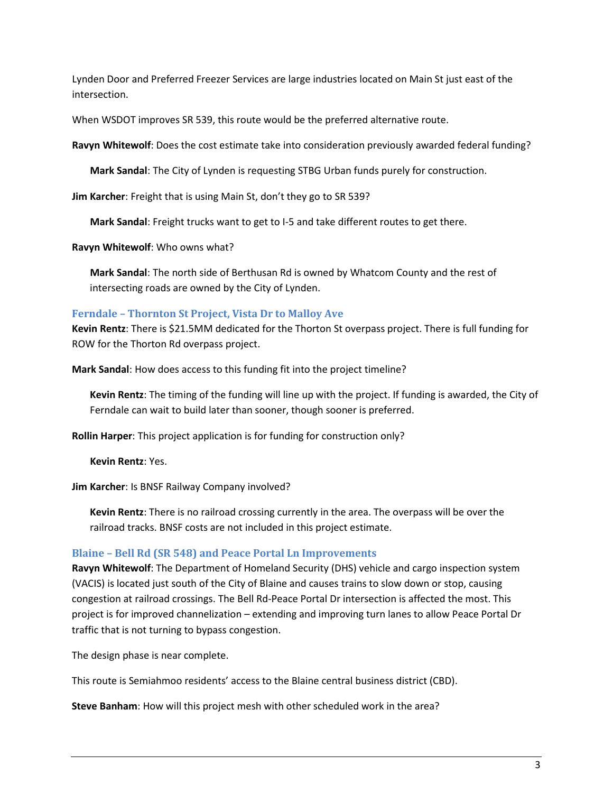Lynden Door and Preferred Freezer Services are large industries located on Main St just east of the intersection.

When WSDOT improves SR 539, this route would be the preferred alternative route.

**Ravyn Whitewolf**: Does the cost estimate take into consideration previously awarded federal funding?

**Mark Sandal**: The City of Lynden is requesting STBG Urban funds purely for construction.

**Jim Karcher**: Freight that is using Main St, don't they go to SR 539?

**Mark Sandal**: Freight trucks want to get to I-5 and take different routes to get there.

**Ravyn Whitewolf**: Who owns what?

**Mark Sandal**: The north side of Berthusan Rd is owned by Whatcom County and the rest of intersecting roads are owned by the City of Lynden.

#### **Ferndale – Thornton St Project, Vista Dr to Malloy Ave**

**Kevin Rentz**: There is \$21.5MM dedicated for the Thorton St overpass project. There is full funding for ROW for the Thorton Rd overpass project.

**Mark Sandal**: How does access to this funding fit into the project timeline?

**Kevin Rentz**: The timing of the funding will line up with the project. If funding is awarded, the City of Ferndale can wait to build later than sooner, though sooner is preferred.

**Rollin Harper**: This project application is for funding for construction only?

**Kevin Rentz**: Yes.

**Jim Karcher**: Is BNSF Railway Company involved?

**Kevin Rentz**: There is no railroad crossing currently in the area. The overpass will be over the railroad tracks. BNSF costs are not included in this project estimate.

#### **Blaine – Bell Rd (SR 548) and Peace Portal Ln Improvements**

**Ravyn Whitewolf**: The Department of Homeland Security (DHS) vehicle and cargo inspection system (VACIS) is located just south of the City of Blaine and causes trains to slow down or stop, causing congestion at railroad crossings. The Bell Rd-Peace Portal Dr intersection is affected the most. This project is for improved channelization – extending and improving turn lanes to allow Peace Portal Dr traffic that is not turning to bypass congestion.

The design phase is near complete.

This route is Semiahmoo residents' access to the Blaine central business district (CBD).

**Steve Banham**: How will this project mesh with other scheduled work in the area?